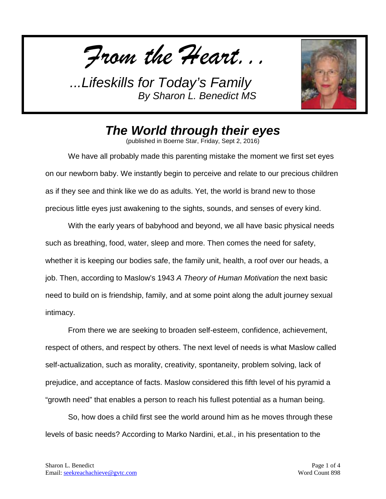*From the Heart...*



## *The World through their eyes*

(published in Boerne Star, Friday, Sept 2, 2016)

We have all probably made this parenting mistake the moment we first set eyes on our newborn baby. We instantly begin to perceive and relate to our precious children as if they see and think like we do as adults. Yet, the world is brand new to those precious little eyes just awakening to the sights, sounds, and senses of every kind.

With the early years of babyhood and beyond, we all have basic physical needs such as breathing, food, water, sleep and more. Then comes the need for safety, whether it is keeping our bodies safe, the family unit, health, a roof over our heads, a job. Then, according to Maslow's 1943 *A Theory of Human Motivation* the next basic need to build on is friendship, family, and at some point along the adult journey sexual intimacy.

From there we are seeking to broaden self-esteem, confidence, achievement, respect of others, and respect by others. The next level of needs is what Maslow called self-actualization, such as morality, creativity, spontaneity, problem solving, lack of prejudice, and acceptance of facts. Maslow considered this fifth level of his pyramid a "growth need" that enables a person to reach his fullest potential as a human being.

So, how does a child first see the world around him as he moves through these levels of basic needs? According to Marko Nardini, et.al., in his presentation to the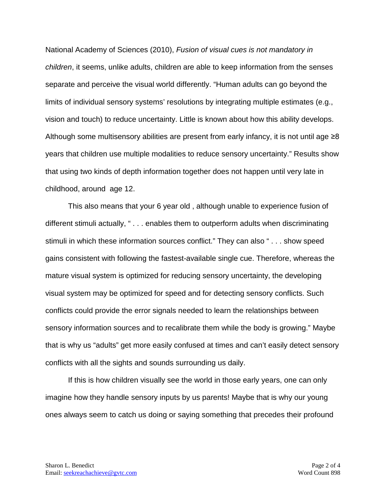National Academy of Sciences (2010), *Fusion of visual cues is not mandatory in children*, it seems, unlike adults, children are able to keep information from the senses separate and perceive the visual world differently. "Human adults can go beyond the limits of individual sensory systems' resolutions by integrating multiple estimates (e.g., vision and touch) to reduce uncertainty. Little is known about how this ability develops. Although some multisensory abilities are present from early infancy, it is not until age ≥8 years that children use multiple modalities to reduce sensory uncertainty." Results show that using two kinds of depth information together does not happen until very late in childhood, around age 12.

This also means that your 6 year old , although unable to experience fusion of different stimuli actually, " . . . enables them to outperform adults when discriminating stimuli in which these information sources conflict." They can also " . . . show speed gains consistent with following the fastest-available single cue. Therefore, whereas the mature visual system is optimized for reducing sensory uncertainty, the developing visual system may be optimized for speed and for detecting sensory conflicts. Such conflicts could provide the error signals needed to learn the relationships between sensory information sources and to recalibrate them while the body is growing." Maybe that is why us "adults" get more easily confused at times and can't easily detect sensory conflicts with all the sights and sounds surrounding us daily.

If this is how children visually see the world in those early years, one can only imagine how they handle sensory inputs by us parents! Maybe that is why our young ones always seem to catch us doing or saying something that precedes their profound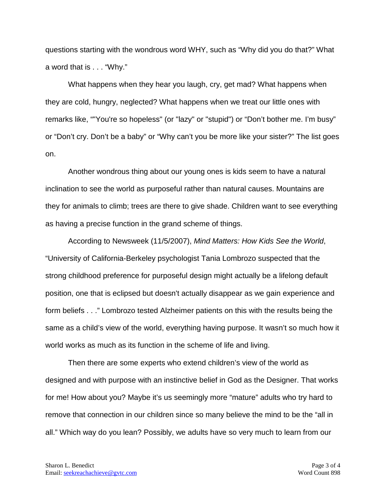questions starting with the wondrous word WHY, such as "Why did you do that?" What a word that is . . . "Why."

What happens when they hear you laugh, cry, get mad? What happens when they are cold, hungry, neglected? What happens when we treat our little ones with remarks like, ""You're so hopeless" (or "lazy" or "stupid") or "Don't bother me. I'm busy" or "Don't cry. Don't be a baby" or "Why can't you be more like your sister?" The list goes on.

Another wondrous thing about our young ones is kids seem to have a natural inclination to see the world as purposeful rather than natural causes. Mountains are they for animals to climb; trees are there to give shade. Children want to see everything as having a precise function in the grand scheme of things.

According to Newsweek (11/5/2007), *Mind Matters: How Kids See the World*, "University of California-Berkeley psychologist Tania Lombrozo suspected that the strong childhood preference for purposeful design might actually be a lifelong default position, one that is eclipsed but doesn't actually disappear as we gain experience and form beliefs . . ." Lombrozo tested Alzheimer patients on this with the results being the same as a child's view of the world, everything having purpose. It wasn't so much how it world works as much as its function in the scheme of life and living.

Then there are some experts who extend children's view of the world as designed and with purpose with an instinctive belief in God as the Designer. That works for me! How about you? Maybe it's us seemingly more "mature" adults who try hard to remove that connection in our children since so many believe the mind to be the "all in all." Which way do you lean? Possibly, we adults have so very much to learn from our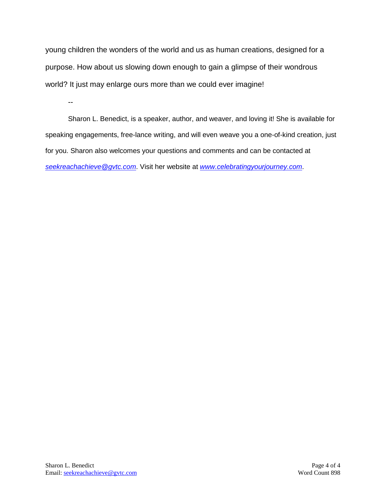young children the wonders of the world and us as human creations, designed for a purpose. How about us slowing down enough to gain a glimpse of their wondrous world? It just may enlarge ours more than we could ever imagine!

--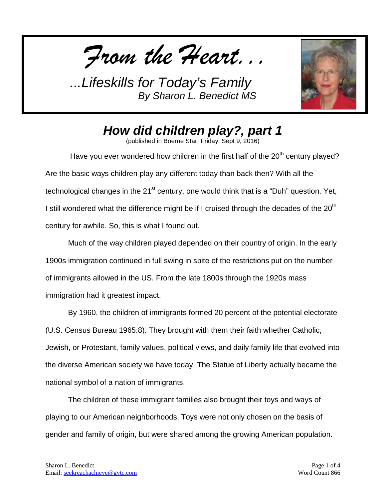*From the Heart...*



*How did children play?, part 1*

(published in Boerne Star, Friday, Sept 9, 2016)

Have you ever wondered how children in the first half of the  $20<sup>th</sup>$  century played? Are the basic ways children play any different today than back then? With all the technological changes in the  $21<sup>st</sup>$  century, one would think that is a "Duh" question. Yet, I still wondered what the difference might be if I cruised through the decades of the 20<sup>th</sup> century for awhile. So, this is what I found out.

Much of the way children played depended on their country of origin. In the early 1900s immigration continued in full swing in spite of the restrictions put on the number of immigrants allowed in the US. From the late 1800s through the 1920s mass immigration had it greatest impact.

By 1960, the children of immigrants formed 20 percent of the potential electorate (U.S. Census Bureau 1965:8). They brought with them their faith whether Catholic, Jewish, or Protestant, family values, political views, and daily family life that evolved into the diverse American society we have today. The Statue of Liberty actually became the national symbol of a nation of immigrants.

The children of these immigrant families also brought their toys and ways of playing to our American neighborhoods. Toys were not only chosen on the basis of gender and family of origin, but were shared among the growing American population.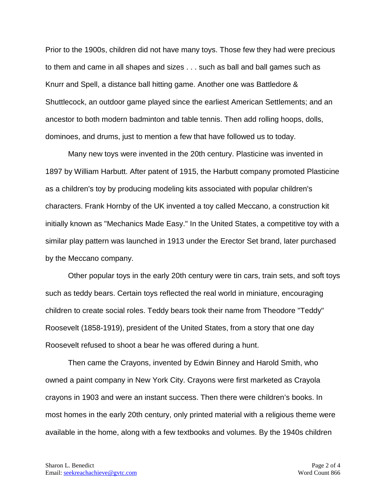Prior to the 1900s, children did not have many toys. Those few they had were precious to them and came in all shapes and sizes . . . such as ball and ball games such as Knurr and Spell, a distance ball hitting game. Another one was Battledore & Shuttlecock, an outdoor game played since the earliest American Settlements; and an ancestor to both modern badminton and table tennis. Then add rolling hoops, dolls, dominoes, and drums, just to mention a few that have followed us to today.

Many new toys were invented in the 20th century. Plasticine was invented in 1897 by William Harbutt. After patent of 1915, the Harbutt company promoted Plasticine as a children's toy by producing modeling kits associated with popular children's characters. Frank Hornby of the UK invented a toy called Meccano, a construction kit initially known as "Mechanics Made Easy." In the United States, a competitive toy with a similar play pattern was launched in 1913 under the Erector Set brand, later purchased by the Meccano company.

Other popular toys in the early 20th century were tin cars, train sets, and soft toys such as teddy bears. Certain toys reflected the real world in miniature, encouraging children to create social roles. Teddy bears took their name from Theodore "Teddy" Roosevelt (1858-1919), president of the United States, from a story that one day Roosevelt refused to shoot a bear he was offered during a hunt.

Then came the Crayons, invented by Edwin Binney and Harold Smith, who owned a paint company in New York City. Crayons were first marketed as Crayola crayons in 1903 and were an instant success. Then there were children's books. In most homes in the early 20th century, only printed material with a religious theme were available in the home, along with a few textbooks and volumes. By the 1940s children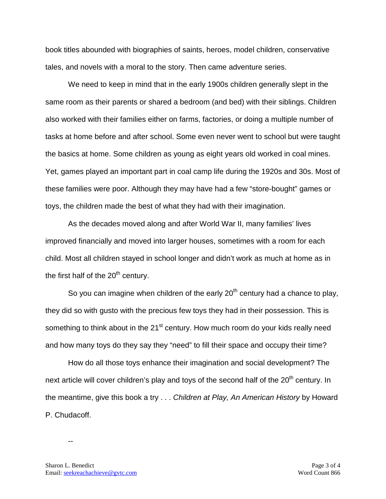book titles abounded with biographies of saints, heroes, model children, conservative tales, and novels with a moral to the story. Then came adventure series.

We need to keep in mind that in the early 1900s children generally slept in the same room as their parents or shared a bedroom (and bed) with their siblings. Children also worked with their families either on farms, factories, or doing a multiple number of tasks at home before and after school. Some even never went to school but were taught the basics at home. Some children as young as eight years old worked in coal mines. Yet, games played an important part in coal camp life during the 1920s and 30s. Most of these families were poor. Although they may have had a few "store-bought" games or toys, the children made the best of what they had with their imagination.

As the decades moved along and after World War II, many families' lives improved financially and moved into larger houses, sometimes with a room for each child. Most all children stayed in school longer and didn't work as much at home as in the first half of the 20<sup>th</sup> century.

So you can imagine when children of the early  $20<sup>th</sup>$  century had a chance to play, they did so with gusto with the precious few toys they had in their possession. This is something to think about in the 21<sup>st</sup> century. How much room do your kids really need and how many toys do they say they "need" to fill their space and occupy their time?

How do all those toys enhance their imagination and social development? The next article will cover children's play and toys of the second half of the 20<sup>th</sup> century. In the meantime, give this book a try . . . *Children at Play, An American History* by Howard P. Chudacoff.

--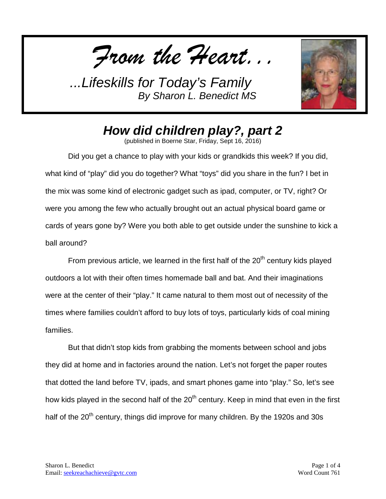*From the Heart...*



*How did children play?, part 2*

(published in Boerne Star, Friday, Sept 16, 2016)

Did you get a chance to play with your kids or grandkids this week? If you did, what kind of "play" did you do together? What "toys" did you share in the fun? I bet in the mix was some kind of electronic gadget such as ipad, computer, or TV, right? Or were you among the few who actually brought out an actual physical board game or cards of years gone by? Were you both able to get outside under the sunshine to kick a ball around?

From previous article, we learned in the first half of the  $20<sup>th</sup>$  century kids played outdoors a lot with their often times homemade ball and bat. And their imaginations were at the center of their "play." It came natural to them most out of necessity of the times where families couldn't afford to buy lots of toys, particularly kids of coal mining families.

But that didn't stop kids from grabbing the moments between school and jobs they did at home and in factories around the nation. Let's not forget the paper routes that dotted the land before TV, ipads, and smart phones game into "play." So, let's see how kids played in the second half of the 20<sup>th</sup> century. Keep in mind that even in the first half of the 20<sup>th</sup> century, things did improve for many children. By the 1920s and 30s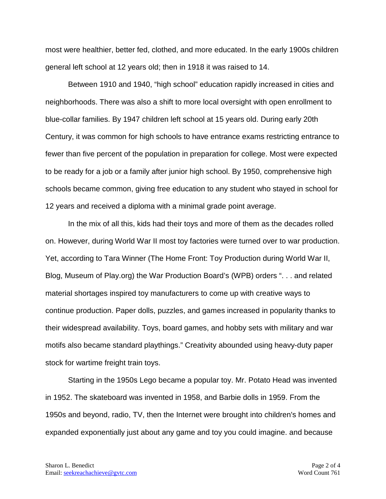most were healthier, better fed, clothed, and more educated. In the early 1900s children general left school at 12 years old; then in 1918 it was raised to 14.

Between 1910 and 1940, "high school" education rapidly increased in cities and neighborhoods. There was also a shift to more local oversight with open enrollment to blue-collar families. By 1947 children left school at 15 years old. During early 20th Century, it was common for high schools to have entrance exams restricting entrance to fewer than five percent of the population in preparation for college. Most were expected to be ready for a job or a family after junior high school. By 1950, comprehensive high schools became common, giving free education to any student who stayed in school for 12 years and received a diploma with a minimal grade point average.

In the mix of all this, kids had their toys and more of them as the decades rolled on. However, during World War II most toy factories were turned over to war production. Yet, according to Tara Winner (The Home Front: Toy Production during World War II, Blog, Museum of Play.org) the War Production Board's (WPB) orders ". . . and related material shortages inspired toy manufacturers to come up with creative ways to continue production. Paper dolls, puzzles, and games increased in popularity thanks to their widespread availability. Toys, board games, and hobby sets with military and war motifs also became standard playthings." Creativity abounded using heavy-duty paper stock for wartime freight train toys.

Starting in the 1950s Lego became a popular toy. Mr. Potato Head was invented in 1952. The skateboard was invented in 1958, and Barbie dolls in 1959. From the 1950s and beyond, radio, TV, then the Internet were brought into children's homes and expanded exponentially just about any game and toy you could imagine. and because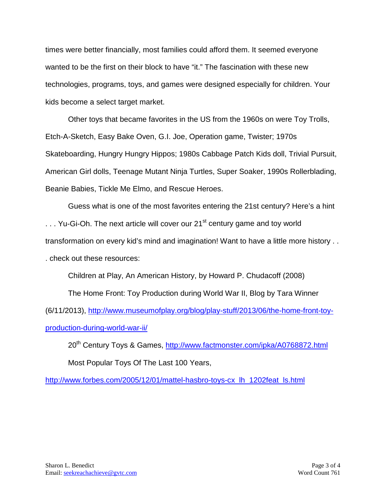times were better financially, most families could afford them. It seemed everyone wanted to be the first on their block to have "it." The fascination with these new technologies, programs, toys, and games were designed especially for children. Your kids become a select target market.

Other toys that became favorites in the US from the 1960s on were Toy Trolls, Etch-A-Sketch, Easy Bake Oven, G.I. Joe, Operation game, Twister; 1970s Skateboarding, Hungry Hungry Hippos; 1980s Cabbage Patch Kids doll, Trivial Pursuit, American Girl dolls, Teenage Mutant Ninja Turtles, Super Soaker, 1990s Rollerblading, Beanie Babies, Tickle Me Elmo, and Rescue Heroes.

Guess what is one of the most favorites entering the 21st century? Here's a hint ... Yu-Gi-Oh. The next article will cover our 21<sup>st</sup> century game and toy world transformation on every kid's mind and imagination! Want to have a little more history . . . check out these resources:

Children at Play, An American History, by Howard P. Chudacoff (2008) The Home Front: Toy Production during World War II, Blog by Tara Winner

(6/11/2013), [http://www.museumofplay.org/blog/play-stuff/2013/06/the-home-front-toy](http://www.museumofplay.org/blog/play-stuff/2013/06/the-home-front-toy-production-during-world-war-ii/)[production-during-world-war-ii/](http://www.museumofplay.org/blog/play-stuff/2013/06/the-home-front-toy-production-during-world-war-ii/)

20<sup>th</sup> Century Toys & Games,<http://www.factmonster.com/ipka/A0768872.html> Most Popular Toys Of The Last 100 Years,

[http://www.forbes.com/2005/12/01/mattel-hasbro-toys-cx\\_lh\\_1202feat\\_ls.html](http://www.forbes.com/2005/12/01/mattel-hasbro-toys-cx_lh_1202feat_ls.html)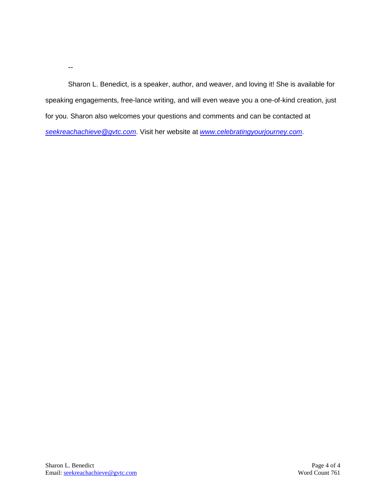Sharon L. Benedict, is a speaker, author, and weaver, and loving it! She is available for speaking engagements, free-lance writing, and will even weave you a one-of-kind creation, just for you. Sharon also welcomes your questions and comments and can be contacted at *[seekreachachieve@gvtc.com](mailto:seekreachachieve@gvtc.com)*. Visit her website at *[www.celebratingyourjourney.com](http://www.celebratingyourjourney.com/)*.

--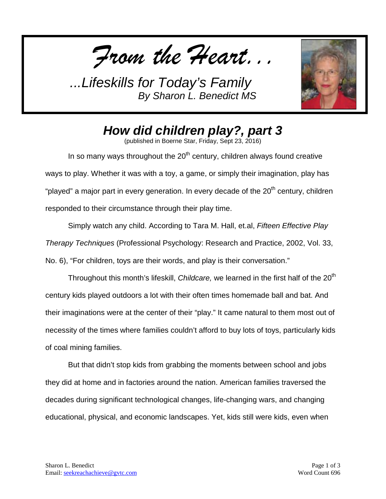*From the Heart...*



## *How did children play?, part 3*

(published in Boerne Star, Friday, Sept 23, 2016)

In so many ways throughout the  $20<sup>th</sup>$  century, children always found creative ways to play. Whether it was with a toy, a game, or simply their imagination, play has "played" a major part in every generation. In every decade of the 20<sup>th</sup> century, children responded to their circumstance through their play time.

Simply watch any child. According to Tara M. Hall, et.al, *Fifteen Effective Play Therapy Techniques* (Professional Psychology: Research and Practice, 2002, Vol. 33, No. 6), "For children, toys are their words, and play is their conversation."

Throughout this month's lifeskill, *Childcare,* we learned in the first half of the 20<sup>th</sup> century kids played outdoors a lot with their often times homemade ball and bat. And their imaginations were at the center of their "play." It came natural to them most out of necessity of the times where families couldn't afford to buy lots of toys, particularly kids of coal mining families.

But that didn't stop kids from grabbing the moments between school and jobs they did at home and in factories around the nation. American families traversed the decades during significant technological changes, life-changing wars, and changing educational, physical, and economic landscapes. Yet, kids still were kids, even when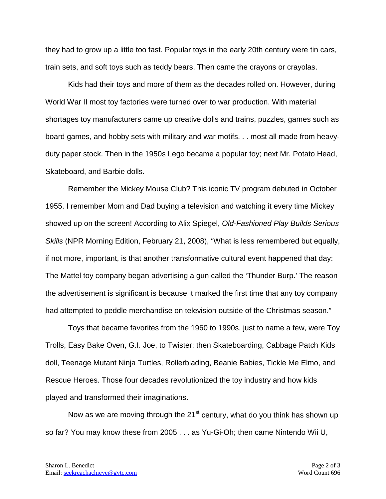they had to grow up a little too fast. Popular toys in the early 20th century were tin cars, train sets, and soft toys such as teddy bears. Then came the crayons or crayolas.

Kids had their toys and more of them as the decades rolled on. However, during World War II most toy factories were turned over to war production. With material shortages toy manufacturers came up creative dolls and trains, puzzles, games such as board games, and hobby sets with military and war motifs. . . most all made from heavyduty paper stock. Then in the 1950s Lego became a popular toy; next Mr. Potato Head, Skateboard, and Barbie dolls.

Remember the Mickey Mouse Club? This iconic TV program debuted in October 1955. I remember Mom and Dad buying a television and watching it every time Mickey showed up on the screen! According to Alix Spiegel, *Old-Fashioned Play Builds Serious Skills* (NPR Morning Edition, February 21, 2008), "What is less remembered but equally, if not more, important, is that another transformative cultural event happened that day: The Mattel toy company began advertising a gun called the 'Thunder Burp.' The reason the advertisement is significant is because it marked the first time that any toy company had attempted to peddle merchandise on television outside of the Christmas season."

Toys that became favorites from the 1960 to 1990s, just to name a few, were Toy Trolls, Easy Bake Oven, G.I. Joe, to Twister; then Skateboarding, Cabbage Patch Kids doll, Teenage Mutant Ninja Turtles, Rollerblading, Beanie Babies, Tickle Me Elmo, and Rescue Heroes. Those four decades revolutionized the toy industry and how kids played and transformed their imaginations.

Now as we are moving through the  $21^{st}$  century, what do you think has shown up so far? You may know these from 2005 . . . as Yu-Gi-Oh; then came Nintendo Wii U,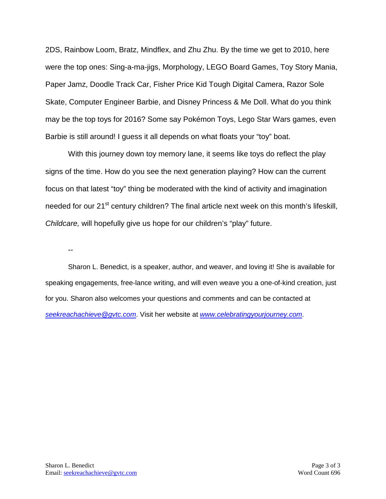2DS, Rainbow Loom, Bratz, Mindflex, and Zhu Zhu. By the time we get to 2010, here were the top ones: Sing-a-ma-jigs, Morphology, LEGO Board Games, Toy Story Mania, Paper Jamz, Doodle Track Car, Fisher Price Kid Tough Digital Camera, Razor Sole Skate, Computer Engineer Barbie, and Disney Princess & Me Doll. What do you think may be the top toys for 2016? Some say Pokémon Toys, Lego Star Wars games, even Barbie is still around! I guess it all depends on what floats your "toy" boat.

With this journey down toy memory lane, it seems like toys do reflect the play signs of the time. How do you see the next generation playing? How can the current focus on that latest "toy" thing be moderated with the kind of activity and imagination needed for our 21<sup>st</sup> century children? The final article next week on this month's lifeskill, *Childcare,* will hopefully give us hope for our children's "play" future.

--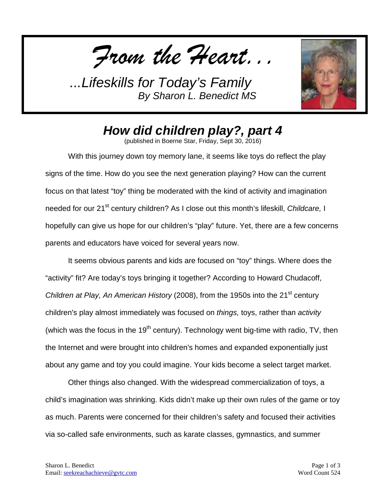*From the Heart...*



## *How did children play?, part 4*

(published in Boerne Star, Friday, Sept 30, 2016)

With this journey down toy memory lane, it seems like toys do reflect the play signs of the time. How do you see the next generation playing? How can the current focus on that latest "toy" thing be moderated with the kind of activity and imagination needed for our 21<sup>st</sup> century children? As I close out this month's lifeskill, *Childcare,* I hopefully can give us hope for our children's "play" future. Yet, there are a few concerns parents and educators have voiced for several years now.

It seems obvious parents and kids are focused on "toy" things. Where does the "activity" fit? Are today's toys bringing it together? According to Howard Chudacoff, Children at Play, An American History (2008), from the 1950s into the 21<sup>st</sup> century children's play almost immediately was focused on *things,* toys, rather than *activity*  (which was the focus in the  $19<sup>th</sup>$  century). Technology went big-time with radio, TV, then the Internet and were brought into children's homes and expanded exponentially just about any game and toy you could imagine. Your kids become a select target market.

Other things also changed. With the widespread commercialization of toys, a child's imagination was shrinking. Kids didn't make up their own rules of the game or toy as much. Parents were concerned for their children's safety and focused their activities via so-called safe environments, such as karate classes, gymnastics, and summer